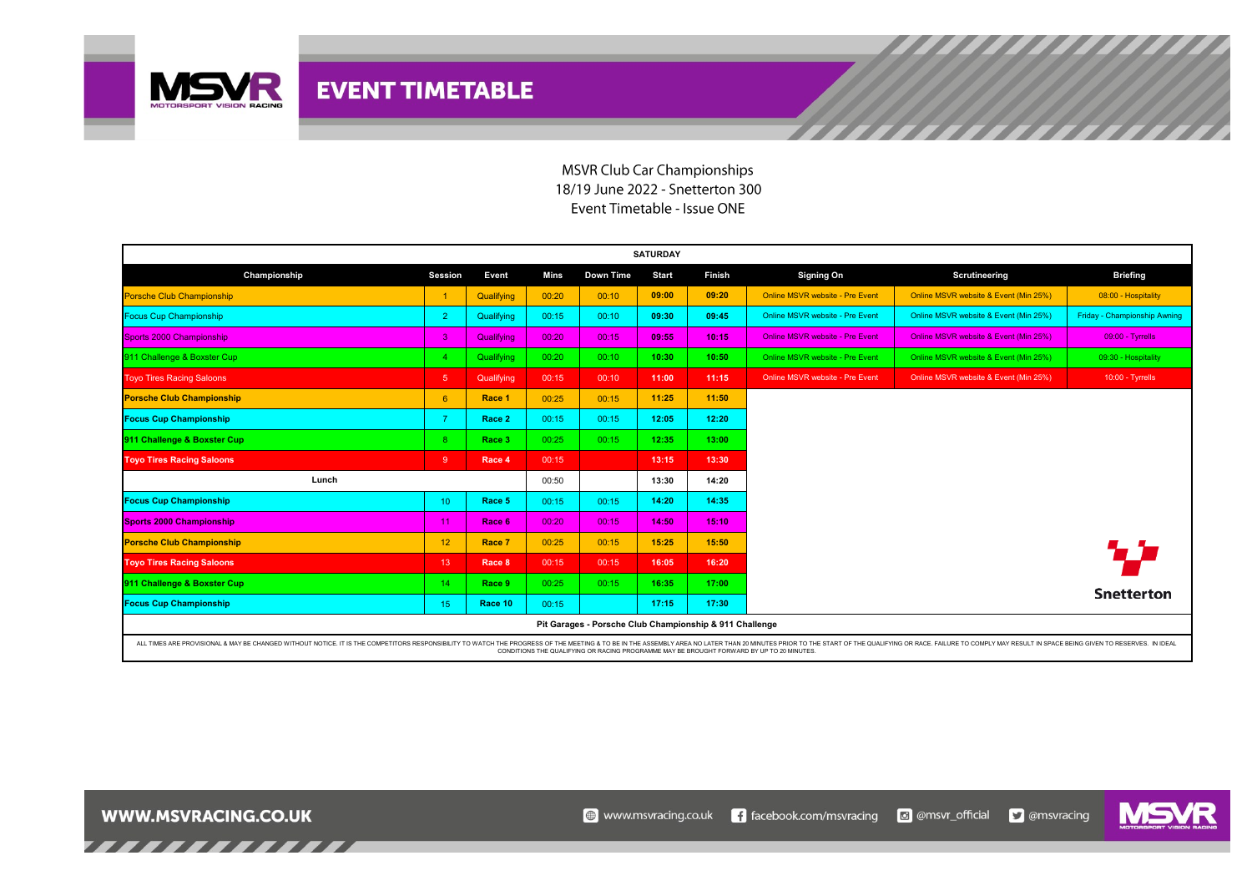

## **MSVR Club Car Championships** 18/19 June 2022 - Snetterton 300 Event Timetable - Issue ONE

| <b>SATURDAY</b>                                                                                                                                                                                                                                                                                                             |                 |            |       |           |              |        |                                        |                                       |                              |  |  |  |
|-----------------------------------------------------------------------------------------------------------------------------------------------------------------------------------------------------------------------------------------------------------------------------------------------------------------------------|-----------------|------------|-------|-----------|--------------|--------|----------------------------------------|---------------------------------------|------------------------------|--|--|--|
| Championship                                                                                                                                                                                                                                                                                                                | Session         | Event      | Mins  | Down Time | <b>Start</b> | Finish | <b>Signing On</b>                      | Scrutineering                         | <b>Briefing</b>              |  |  |  |
| <b>Porsche Club Championship</b>                                                                                                                                                                                                                                                                                            | -1              | Qualifying | 00:20 | 00:10     | 09:00        | 09:20  | Online MSVR website - Pre Event        | Online MSVR website & Event (Min 25%) | 08:00 - Hospitality          |  |  |  |
| <b>Focus Cup Championship</b>                                                                                                                                                                                                                                                                                               | 2               | Qualifying | 00:15 | 00:10     | 09:30        | 09:45  | Online MSVR website - Pre Event        | Online MSVR website & Event (Min 25%) | Friday - Championship Awning |  |  |  |
| Sports 2000 Championship                                                                                                                                                                                                                                                                                                    | 3               | Qualifying | 00:20 | 00:15     | 09:55        | 10:15  | <b>Online MSVR website - Pre Event</b> | Online MSVR website & Event (Min 25%) | 09:00 - Tyrrells             |  |  |  |
| 911 Challenge & Boxster Cup                                                                                                                                                                                                                                                                                                 |                 | Qualifying | 00:20 | 00:10     | 10:30        | 10:50  | Online MSVR website - Pre Event        | Online MSVR website & Event (Min 25%) | 09:30 - Hospitality          |  |  |  |
| <b>Toyo Tires Racing Saloons</b>                                                                                                                                                                                                                                                                                            | $5\phantom{.0}$ | Qualifying | 00:15 | 00:10     | 11:00        | 11:15  | Online MSVR website - Pre Event        | Online MSVR website & Event (Min 25%) | $10:00 - Tyrrells$           |  |  |  |
| <b>Porsche Club Championship</b>                                                                                                                                                                                                                                                                                            | 6               | Race 1     | 00:25 | 00:15     | 11:25        | 11:50  |                                        |                                       |                              |  |  |  |
| <b>Focus Cup Championship</b>                                                                                                                                                                                                                                                                                               | $\overline{7}$  | Race 2     | 00:15 | 00:15     | 12:05        | 12:20  |                                        |                                       |                              |  |  |  |
| 911 Challenge & Boxster Cup                                                                                                                                                                                                                                                                                                 | $\mathbf{R}$    | Race 3     | 00:25 | 00:15     | 12:35        | 13:00  |                                        |                                       |                              |  |  |  |
| <b>Toyo Tires Racing Saloons</b>                                                                                                                                                                                                                                                                                            | -9              | Race 4     | 00:15 |           | 13:15        | 13:30  |                                        |                                       |                              |  |  |  |
| Lunch                                                                                                                                                                                                                                                                                                                       |                 |            | 00:50 |           | 13:30        | 14:20  |                                        |                                       |                              |  |  |  |
| <b>Focus Cup Championship</b>                                                                                                                                                                                                                                                                                               | 10              | Race 5     | 00:15 | 00:15     | 14:20        | 14:35  |                                        |                                       |                              |  |  |  |
| <b>Sports 2000 Championship</b>                                                                                                                                                                                                                                                                                             | 11              | Race 6     | 00:20 | 00:15     | 14:50        | 15:10  |                                        |                                       |                              |  |  |  |
| <b>Porsche Club Championship</b>                                                                                                                                                                                                                                                                                            | 12              | Race 7     | 00:25 | 00:15     | 15:25        | 15:50  |                                        |                                       |                              |  |  |  |
| <b>Toyo Tires Racing Saloons</b>                                                                                                                                                                                                                                                                                            | 13              | Race 8     | 00:15 | 00:15     | 16:05        | 16:20  |                                        |                                       |                              |  |  |  |
| 911 Challenge & Boxster Cup                                                                                                                                                                                                                                                                                                 | 14              | Race 9     | 00:25 | 00:15     | 16:35        | 17:00  |                                        |                                       | <b>Snetterton</b>            |  |  |  |
| <b>Focus Cup Championship</b>                                                                                                                                                                                                                                                                                               | 15              | Race 10    | 00:15 |           | 17:15        | 17:30  |                                        |                                       |                              |  |  |  |
| Pit Garages - Porsche Club Championship & 911 Challenge                                                                                                                                                                                                                                                                     |                 |            |       |           |              |        |                                        |                                       |                              |  |  |  |
| ALL TIMES ARE PROVISIONAL & MAY BE CHANGED WITHOUT NOTICE. IT IS THE COMPETITORS RESPONSIBILITY TO WATCH THE PROGRESS OF THE MEETING & TO BE IN THE ASSEMBLY AREA NO LATER THAN 20 MINUTES PRIOR TO THE START OF THE QUALIFYIN<br>CONDITIONS THE QUALIFYING OR RACING PROGRAMME MAY BE BROUGHT FORWARD BY UP TO 20 MINUTES. |                 |            |       |           |              |        |                                        |                                       |                              |  |  |  |

,,,,,,,,,,,,,